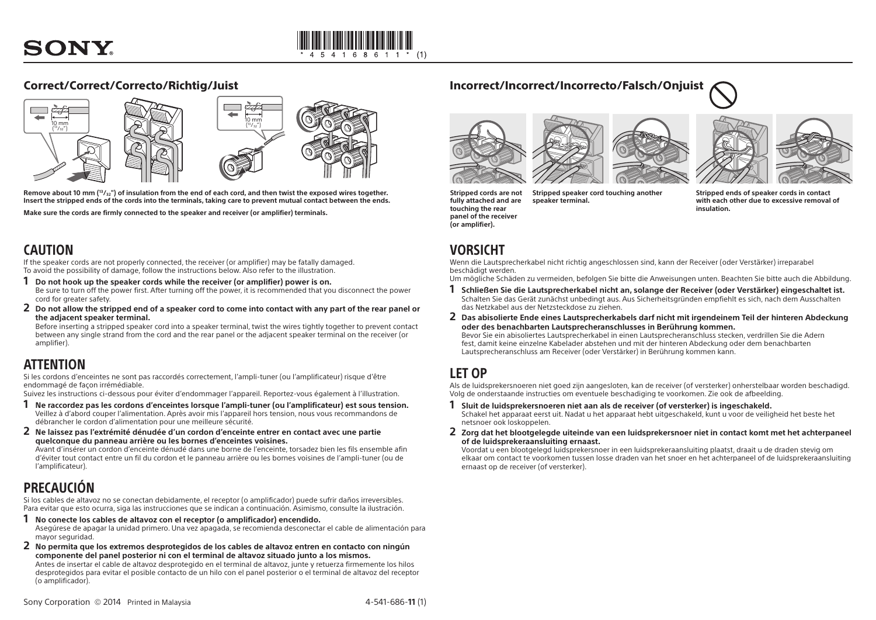

### Correct/Correct/Correcto/Richtig/Juist



**Remove about 10 mm (13/32") of insulation from the end of each cord, and then twist the exposed wires together. Insert the stripped ends of the cords into the terminals, taking care to prevent mutual contact between the ends.**

**Make sure the cords are firmly connected to the speaker and receiver (or amplifier) terminals.**

## CAUTION

If the speaker cords are not properly connected, the receiver (or amplifier) may be fatally damaged. To avoid the possibility of damage, follow the instructions below. Also refer to the illustration.

- **1 Do not hook up the speaker cords while the receiver (or amplifier) power is on.** Be sure to turn off the power first. After turning off the power, it is recommended that you disconnect the power cord for greater safety.
- **2 Do not allow the stripped end of a speaker cord to come into contact with any part of the rear panel or the adjacent speaker terminal.**

Before inserting a stripped speaker cord into a speaker terminal, twist the wires tightly together to prevent contact between any single strand from the cord and the rear panel or the adjacent speaker terminal on the receiver (or amplifier).

### ATTENTION

Si les cordons d'enceintes ne sont pas raccordés correctement, l'ampli-tuner (ou l'amplificateur) risque d'être endommagé de façon irrémédiable.

Suivez les instructions ci-dessous pour éviter d'endommager l'appareil. Reportez-vous également à l'illustration.

- **1 Ne raccordez pas les cordons d'enceintes lorsque l'ampli-tuner (ou l'amplificateur) est sous tension.** Veillez à d'abord couper l'alimentation. Après avoir mis l'appareil hors tension, nous vous recommandons de débrancher le cordon d'alimentation pour une meilleure sécurité.
- **2 Ne laissez pas l'extrémité dénudée d'un cordon d'enceinte entrer en contact avec une partie quelconque du panneau arrière ou les bornes d'enceintes voisines.**

Avant d'insérer un cordon d'enceinte dénudé dans une borne de l'enceinte, torsadez bien les fils ensemble afin d'éviter tout contact entre un fil du cordon et le panneau arrière ou les bornes voisines de l'ampli-tuner (ou de l'amplificateur).

## PRECAUCIÓN

(o amplificador).

Si los cables de altavoz no se conectan debidamente, el receptor (o amplificador) puede sufrir daños irreversibles. Para evitar que esto ocurra, siga las instrucciones que se indican a continuación. Asimismo, consulte la ilustración.

- **1 No conecte los cables de altavoz con el receptor (o amplificador) encendido.** Asegúrese de apagar la unidad primero. Una vez apagada, se recomienda desconectar el cable de alimentación para mayor seguridad.
- **2 No permita que los extremos desprotegidos de los cables de altavoz entren en contacto con ningún componente del panel posterior ni con el terminal de altavoz situado junto a los mismos.** Antes de insertar el cable de altavoz desprotegido en el terminal de altavoz, junte y retuerza firmemente los hilos desprotegidos para evitar el posible contacto de un hilo con el panel posterior o el terminal de altavoz del receptor



Incorrect/Incorrect/Incorrecto/Falsch/Onjuist





**Stripped cords are not fully attached and are touching the rear panel of the receiver (or amplifier). Stripped speaker cord touching another speaker terminal.**

**Stripped ends of speaker cords in contact with each other due to excessive removal of insulation.**

### **VORSICHT**

Wenn die Lautsprecherkabel nicht richtig angeschlossen sind, kann der Receiver (oder Verstärker) irreparabel beschädigt werden.

Um mögliche Schäden zu vermeiden, befolgen Sie bitte die Anweisungen unten. Beachten Sie bitte auch die Abbildung.

- **1 Schließen Sie die Lautsprecherkabel nicht an, solange der Receiver (oder Verstärker) eingeschaltet ist.** Schalten Sie das Gerät zunächst unbedingt aus. Aus Sicherheitsgründen empfiehlt es sich, nach dem Ausschalten das Netzkabel aus der Netzsteckdose zu ziehen.
- **2 Das abisolierte Ende eines Lautsprecherkabels darf nicht mit irgendeinem Teil der hinteren Abdeckung oder des benachbarten Lautsprecheranschlusses in Berührung kommen.**

Bevor Sie ein abisoliertes Lautsprecherkabel in einen Lautsprecheranschluss stecken, verdrillen Sie die Adern fest, damit keine einzelne Kabelader abstehen und mit der hinteren Abdeckung oder dem benachbarten Lautsprecheranschluss am Receiver (oder Verstärker) in Berührung kommen kann.

### LET OP

Als de luidsprekersnoeren niet goed zijn aangesloten, kan de receiver (of versterker) onherstelbaar worden beschadigd. Volg de onderstaande instructies om eventuele beschadiging te voorkomen. Zie ook de afbeelding.

- **1 Sluit de luidsprekersnoeren niet aan als de receiver (of versterker) is ingeschakeld.** Schakel het apparaat eerst uit. Nadat u het apparaat hebt uitgeschakeld, kunt u voor de veiligheid het beste het netsnoer ook loskoppelen.
- **2 Zorg dat het blootgelegde uiteinde van een luidsprekersnoer niet in contact komt met het achterpaneel of de luidsprekeraansluiting ernaast.**

Voordat u een blootgelegd luidsprekersnoer in een luidsprekeraansluiting plaatst, draait u de draden stevig om elkaar om contact te voorkomen tussen losse draden van het snoer en het achterpaneel of de luidsprekeraansluiting ernaast op de receiver (of versterker).